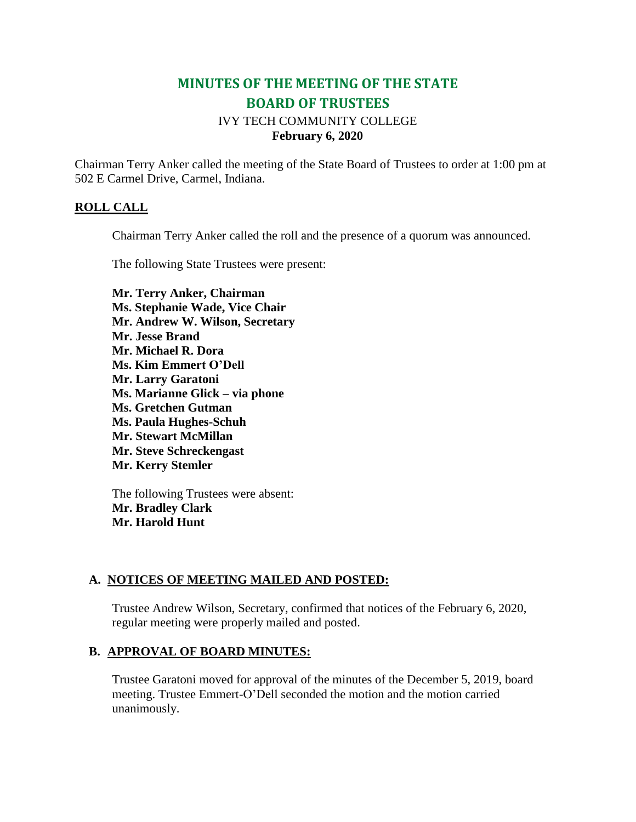# **MINUTES OF THE MEETING OF THE STATE BOARD OF TRUSTEES** IVY TECH COMMUNITY COLLEGE

## **February 6, 2020**

Chairman Terry Anker called the meeting of the State Board of Trustees to order at 1:00 pm at 502 E Carmel Drive, Carmel, Indiana.

#### **ROLL CALL**

Chairman Terry Anker called the roll and the presence of a quorum was announced.

The following State Trustees were present:

**Mr. Terry Anker, Chairman Ms. Stephanie Wade, Vice Chair Mr. Andrew W. Wilson, Secretary Mr. Jesse Brand Mr. Michael R. Dora Ms. Kim Emmert O'Dell Mr. Larry Garatoni Ms. Marianne Glick – via phone Ms. Gretchen Gutman Ms. Paula Hughes-Schuh Mr. Stewart McMillan Mr. Steve Schreckengast Mr. Kerry Stemler**

The following Trustees were absent: **Mr. Bradley Clark Mr. Harold Hunt**

### **A. NOTICES OF MEETING MAILED AND POSTED:**

Trustee Andrew Wilson, Secretary, confirmed that notices of the February 6, 2020, regular meeting were properly mailed and posted.

#### **B. APPROVAL OF BOARD MINUTES:**

Trustee Garatoni moved for approval of the minutes of the December 5, 2019, board meeting. Trustee Emmert-O'Dell seconded the motion and the motion carried unanimously.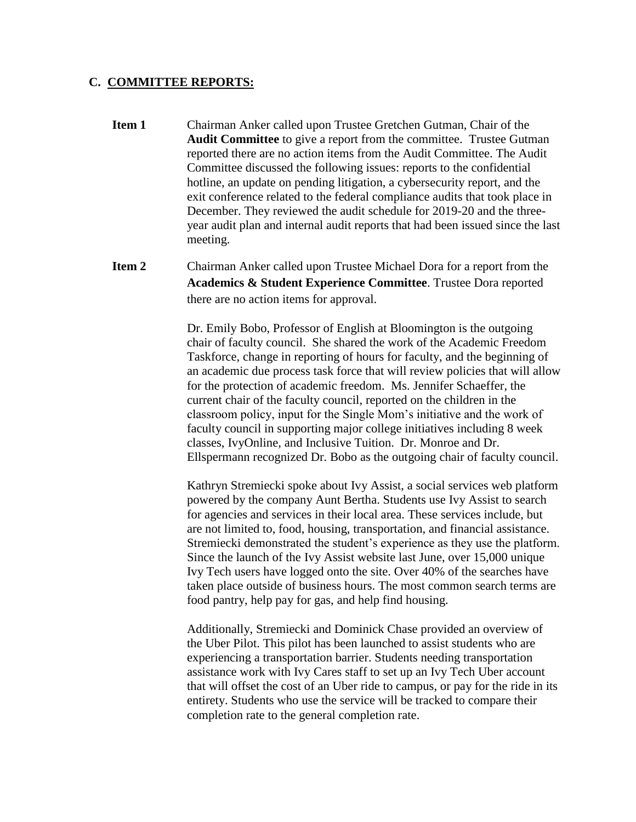#### **C. COMMITTEE REPORTS:**

- **Item 1** Chairman Anker called upon Trustee Gretchen Gutman, Chair of the **Audit Committee** to give a report from the committee. Trustee Gutman reported there are no action items from the Audit Committee. The Audit Committee discussed the following issues: reports to the confidential hotline, an update on pending litigation, a cybersecurity report, and the exit conference related to the federal compliance audits that took place in December. They reviewed the audit schedule for 2019-20 and the threeyear audit plan and internal audit reports that had been issued since the last meeting.
- **Item 2** Chairman Anker called upon Trustee Michael Dora for a report from the **Academics & Student Experience Committee**. Trustee Dora reported there are no action items for approval.

Dr. Emily Bobo, Professor of English at Bloomington is the outgoing chair of faculty council. She shared the work of the Academic Freedom Taskforce, change in reporting of hours for faculty, and the beginning of an academic due process task force that will review policies that will allow for the protection of academic freedom. Ms. Jennifer Schaeffer, the current chair of the faculty council, reported on the children in the classroom policy, input for the Single Mom's initiative and the work of faculty council in supporting major college initiatives including 8 week classes, IvyOnline, and Inclusive Tuition. Dr. Monroe and Dr. Ellspermann recognized Dr. Bobo as the outgoing chair of faculty council.

Kathryn Stremiecki spoke about Ivy Assist, a social services web platform powered by the company Aunt Bertha. Students use Ivy Assist to search for agencies and services in their local area. These services include, but are not limited to, food, housing, transportation, and financial assistance. Stremiecki demonstrated the student's experience as they use the platform. Since the launch of the Ivy Assist website last June, over 15,000 unique Ivy Tech users have logged onto the site. Over 40% of the searches have taken place outside of business hours. The most common search terms are food pantry, help pay for gas, and help find housing.

Additionally, Stremiecki and Dominick Chase provided an overview of the Uber Pilot. This pilot has been launched to assist students who are experiencing a transportation barrier. Students needing transportation assistance work with Ivy Cares staff to set up an Ivy Tech Uber account that will offset the cost of an Uber ride to campus, or pay for the ride in its entirety. Students who use the service will be tracked to compare their completion rate to the general completion rate.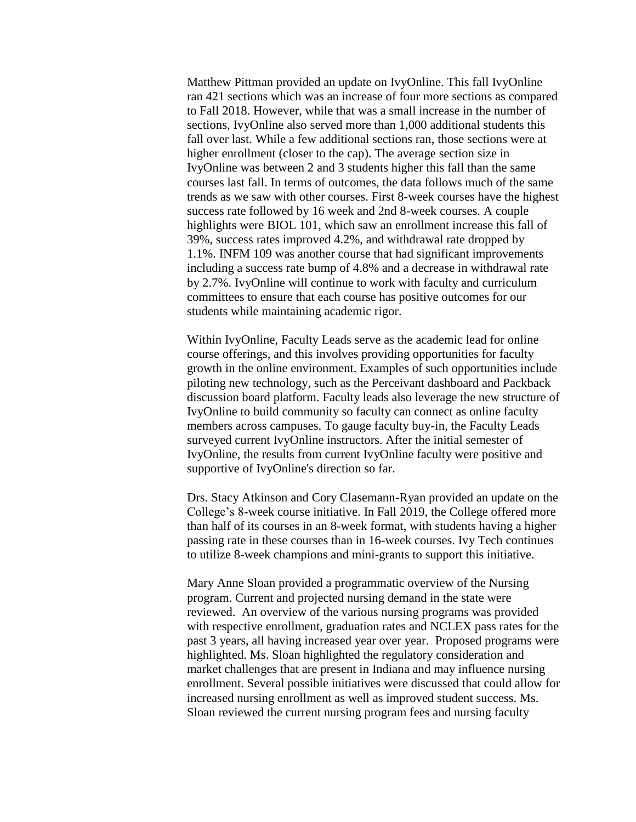Matthew Pittman provided an update on IvyOnline. This fall IvyOnline ran 421 sections which was an increase of four more sections as compared to Fall 2018. However, while that was a small increase in the number of sections, IvyOnline also served more than 1,000 additional students this fall over last. While a few additional sections ran, those sections were at higher enrollment (closer to the cap). The average section size in IvyOnline was between 2 and 3 students higher this fall than the same courses last fall. In terms of outcomes, the data follows much of the same trends as we saw with other courses. First 8-week courses have the highest success rate followed by 16 week and 2nd 8-week courses. A couple highlights were BIOL 101, which saw an enrollment increase this fall of 39%, success rates improved 4.2%, and withdrawal rate dropped by 1.1%. INFM 109 was another course that had significant improvements including a success rate bump of 4.8% and a decrease in withdrawal rate by 2.7%. IvyOnline will continue to work with faculty and curriculum committees to ensure that each course has positive outcomes for our students while maintaining academic rigor.

Within IvyOnline, Faculty Leads serve as the academic lead for online course offerings, and this involves providing opportunities for faculty growth in the online environment. Examples of such opportunities include piloting new technology, such as the Perceivant dashboard and Packback discussion board platform. Faculty leads also leverage the new structure of IvyOnline to build community so faculty can connect as online faculty members across campuses. To gauge faculty buy-in, the Faculty Leads surveyed current IvyOnline instructors. After the initial semester of IvyOnline, the results from current IvyOnline faculty were positive and supportive of IvyOnline's direction so far.

Drs. Stacy Atkinson and Cory Clasemann-Ryan provided an update on the College's 8-week course initiative. In Fall 2019, the College offered more than half of its courses in an 8-week format, with students having a higher passing rate in these courses than in 16-week courses. Ivy Tech continues to utilize 8-week champions and mini-grants to support this initiative.

Mary Anne Sloan provided a programmatic overview of the Nursing program. Current and projected nursing demand in the state were reviewed. An overview of the various nursing programs was provided with respective enrollment, graduation rates and NCLEX pass rates for the past 3 years, all having increased year over year. Proposed programs were highlighted. Ms. Sloan highlighted the regulatory consideration and market challenges that are present in Indiana and may influence nursing enrollment. Several possible initiatives were discussed that could allow for increased nursing enrollment as well as improved student success. Ms. Sloan reviewed the current nursing program fees and nursing faculty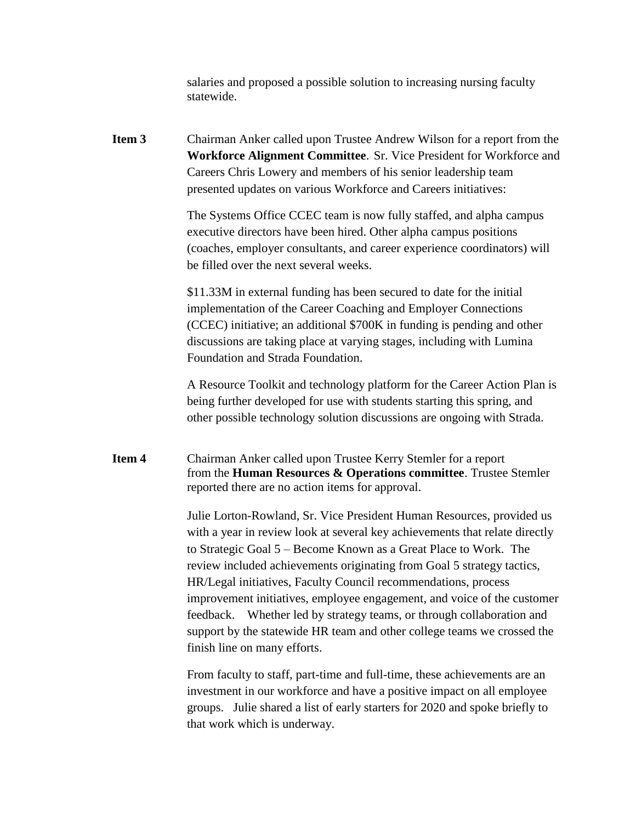salaries and proposed a possible solution to increasing nursing faculty statewide.

**Item 3** Chairman Anker called upon Trustee Andrew Wilson for a report from the **Workforce Alignment Committee**. Sr. Vice President for Workforce and Careers Chris Lowery and members of his senior leadership team presented updates on various Workforce and Careers initiatives:

> The Systems Office CCEC team is now fully staffed, and alpha campus executive directors have been hired. Other alpha campus positions (coaches, employer consultants, and career experience coordinators) will be filled over the next several weeks.

\$11.33M in external funding has been secured to date for the initial implementation of the Career Coaching and Employer Connections (CCEC) initiative; an additional \$700K in funding is pending and other discussions are taking place at varying stages, including with Lumina Foundation and Strada Foundation.

A Resource Toolkit and technology platform for the Career Action Plan is being further developed for use with students starting this spring, and other possible technology solution discussions are ongoing with Strada.

**Item 4** Chairman Anker called upon Trustee Kerry Stemler for a report from the **Human Resources & Operations committee**. Trustee Stemler reported there are no action items for approval.

> Julie Lorton-Rowland, Sr. Vice President Human Resources, provided us with a year in review look at several key achievements that relate directly to Strategic Goal 5 – Become Known as a Great Place to Work. The review included achievements originating from Goal 5 strategy tactics, HR/Legal initiatives, Faculty Council recommendations, process improvement initiatives, employee engagement, and voice of the customer feedback. Whether led by strategy teams, or through collaboration and support by the statewide HR team and other college teams we crossed the finish line on many efforts.

From faculty to staff, part-time and full-time, these achievements are an investment in our workforce and have a positive impact on all employee groups. Julie shared a list of early starters for 2020 and spoke briefly to that work which is underway.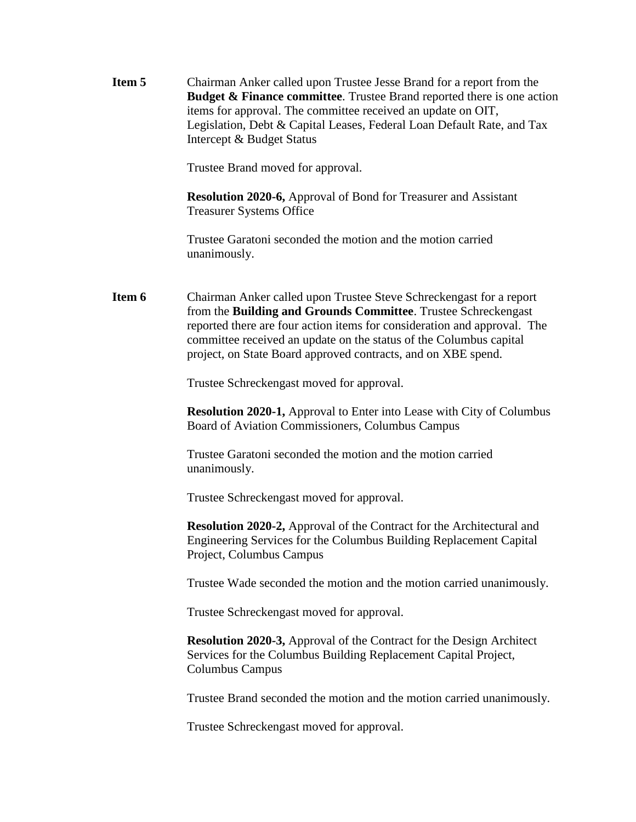**Item 5** Chairman Anker called upon Trustee Jesse Brand for a report from the **Budget & Finance committee**. Trustee Brand reported there is one action items for approval. The committee received an update on OIT, Legislation, Debt & Capital Leases, Federal Loan Default Rate, and Tax Intercept & Budget Status

Trustee Brand moved for approval.

**Resolution 2020-6,** Approval of Bond for Treasurer and Assistant Treasurer Systems Office

Trustee Garatoni seconded the motion and the motion carried unanimously.

**Item 6** Chairman Anker called upon Trustee Steve Schreckengast for a report from the **Building and Grounds Committee**. Trustee Schreckengast reported there are four action items for consideration and approval. The committee received an update on the status of the Columbus capital project, on State Board approved contracts, and on XBE spend.

Trustee Schreckengast moved for approval.

**Resolution 2020-1,** Approval to Enter into Lease with City of Columbus Board of Aviation Commissioners, Columbus Campus

Trustee Garatoni seconded the motion and the motion carried unanimously.

Trustee Schreckengast moved for approval.

**Resolution 2020-2,** Approval of the Contract for the Architectural and Engineering Services for the Columbus Building Replacement Capital Project, Columbus Campus

Trustee Wade seconded the motion and the motion carried unanimously.

Trustee Schreckengast moved for approval.

**Resolution 2020-3,** Approval of the Contract for the Design Architect Services for the Columbus Building Replacement Capital Project, Columbus Campus

Trustee Brand seconded the motion and the motion carried unanimously.

Trustee Schreckengast moved for approval.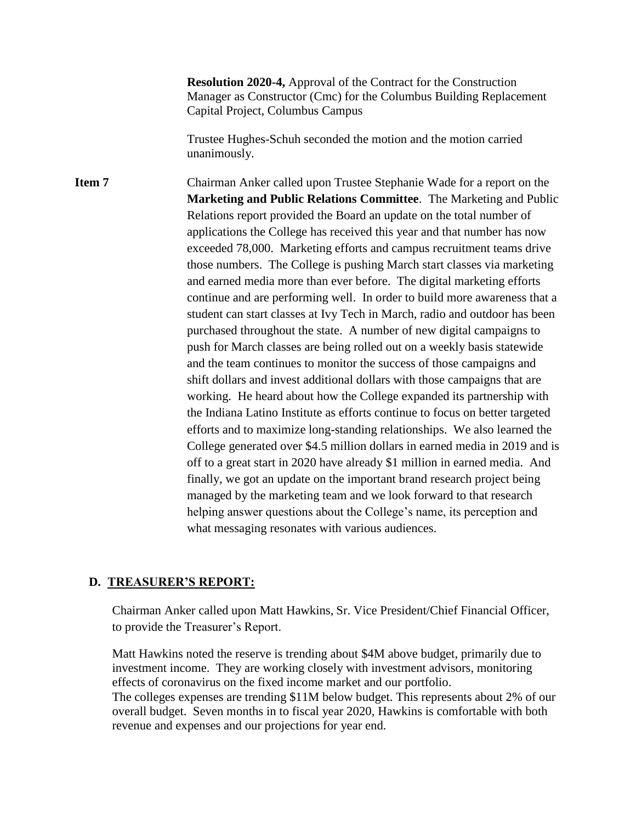**Resolution 2020-4,** Approval of the Contract for the Construction Manager as Constructor (Cmc) for the Columbus Building Replacement Capital Project, Columbus Campus

Trustee Hughes-Schuh seconded the motion and the motion carried unanimously.

**Item 7** Chairman Anker called upon Trustee Stephanie Wade for a report on the **Marketing and Public Relations Committee**. The Marketing and Public Relations report provided the Board an update on the total number of applications the College has received this year and that number has now exceeded 78,000. Marketing efforts and campus recruitment teams drive those numbers. The College is pushing March start classes via marketing and earned media more than ever before. The digital marketing efforts continue and are performing well. In order to build more awareness that a student can start classes at Ivy Tech in March, radio and outdoor has been purchased throughout the state. A number of new digital campaigns to push for March classes are being rolled out on a weekly basis statewide and the team continues to monitor the success of those campaigns and shift dollars and invest additional dollars with those campaigns that are working. He heard about how the College expanded its partnership with the Indiana Latino Institute as efforts continue to focus on better targeted efforts and to maximize long-standing relationships. We also learned the College generated over \$4.5 million dollars in earned media in 2019 and is off to a great start in 2020 have already \$1 million in earned media. And finally, we got an update on the important brand research project being managed by the marketing team and we look forward to that research helping answer questions about the College's name, its perception and what messaging resonates with various audiences.

#### **D. TREASURER'S REPORT:**

Chairman Anker called upon Matt Hawkins, Sr. Vice President/Chief Financial Officer, to provide the Treasurer's Report.

Matt Hawkins noted the reserve is trending about \$4M above budget, primarily due to investment income. They are working closely with investment advisors, monitoring effects of coronavirus on the fixed income market and our portfolio. The colleges expenses are trending \$11M below budget. This represents about 2% of our overall budget. Seven months in to fiscal year 2020, Hawkins is comfortable with both revenue and expenses and our projections for year end.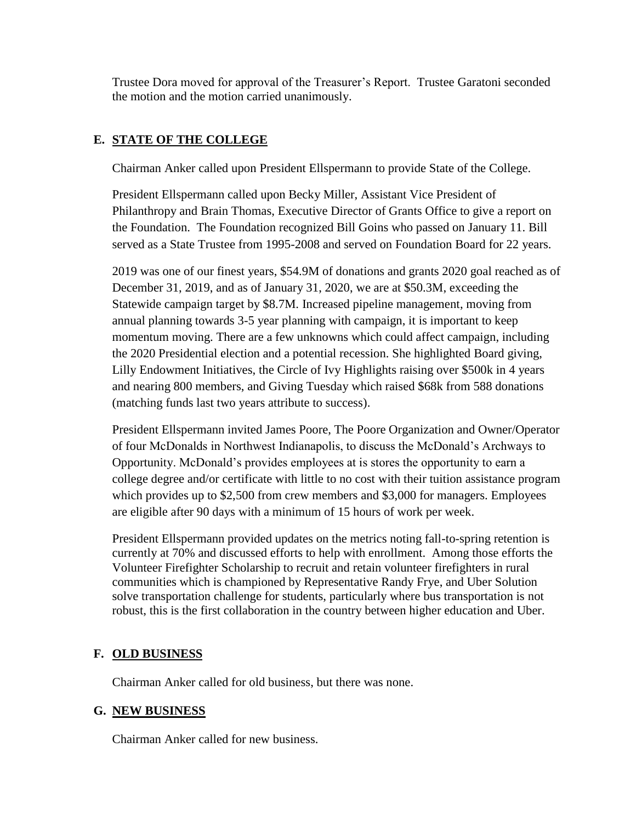Trustee Dora moved for approval of the Treasurer's Report. Trustee Garatoni seconded the motion and the motion carried unanimously.

## **E. STATE OF THE COLLEGE**

Chairman Anker called upon President Ellspermann to provide State of the College.

President Ellspermann called upon Becky Miller, Assistant Vice President of Philanthropy and Brain Thomas, Executive Director of Grants Office to give a report on the Foundation. The Foundation recognized Bill Goins who passed on January 11. Bill served as a State Trustee from 1995-2008 and served on Foundation Board for 22 years.

2019 was one of our finest years, \$54.9M of donations and grants 2020 goal reached as of December 31, 2019, and as of January 31, 2020, we are at \$50.3M, exceeding the Statewide campaign target by \$8.7M. Increased pipeline management, moving from annual planning towards 3-5 year planning with campaign, it is important to keep momentum moving. There are a few unknowns which could affect campaign, including the 2020 Presidential election and a potential recession. She highlighted Board giving, Lilly Endowment Initiatives, the Circle of Ivy Highlights raising over \$500k in 4 years and nearing 800 members, and Giving Tuesday which raised \$68k from 588 donations (matching funds last two years attribute to success).

President Ellspermann invited James Poore, The Poore Organization and Owner/Operator of four McDonalds in Northwest Indianapolis, to discuss the McDonald's Archways to Opportunity. McDonald's provides employees at is stores the opportunity to earn a college degree and/or certificate with little to no cost with their tuition assistance program which provides up to \$2,500 from crew members and \$3,000 for managers. Employees are eligible after 90 days with a minimum of 15 hours of work per week.

President Ellspermann provided updates on the metrics noting fall-to-spring retention is currently at 70% and discussed efforts to help with enrollment. Among those efforts the Volunteer Firefighter Scholarship to recruit and retain volunteer firefighters in rural communities which is championed by Representative Randy Frye, and Uber Solution solve transportation challenge for students, particularly where bus transportation is not robust, this is the first collaboration in the country between higher education and Uber.

## **F. OLD BUSINESS**

Chairman Anker called for old business, but there was none.

### **G. NEW BUSINESS**

Chairman Anker called for new business.